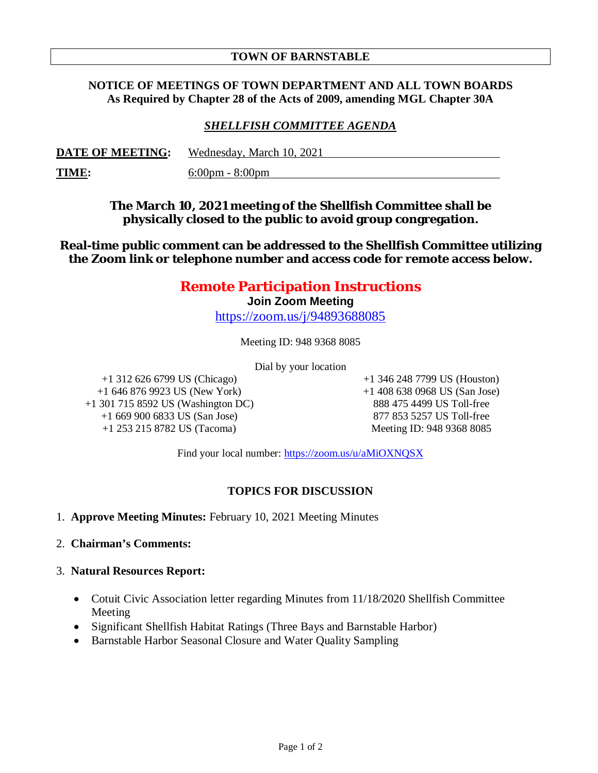# **TOWN OF BARNSTABLE**

# **NOTICE OF MEETINGS OF TOWN DEPARTMENT AND ALL TOWN BOARDS As Required by Chapter 28 of the Acts of 2009, amending MGL Chapter 30A**

# *SHELLFISH COMMITTEE AGENDA*

| <b>DATE OF MEETING:</b> | Wednesday, March 10, 2021         |
|-------------------------|-----------------------------------|
| <u>TIME:</u>            | $6:00 \text{pm} - 8:00 \text{pm}$ |

**The March 10, 2021 meeting of the Shellfish Committee shall be physically closed to the public to avoid group congregation.**

**Real-time public comment can be addressed to the Shellfish Committee utilizing the Zoom link or telephone number and access code for remote access below.**

# **Remote Participation Instructions**

**Join Zoom Meeting**

https://zoom.us/j/94893688085

Meeting ID: 948 9368 8085

Dial by your location

+1 312 626 6799 US (Chicago) +1 646 876 9923 US (New York) +1 301 715 8592 US (Washington DC) +1 669 900 6833 US (San Jose) +1 253 215 8782 US (Tacoma)

+1 346 248 7799 US (Houston) +1 408 638 0968 US (San Jose) 888 475 4499 US Toll-free 877 853 5257 US Toll-free Meeting ID: 948 9368 8085

Find your local number: https://zoom.us/u/aMiOXNQSX

# **TOPICS FOR DISCUSSION**

- 1. **Approve Meeting Minutes:** February 10, 2021 Meeting Minutes
- 2. **Chairman's Comments:**
- 3. **Natural Resources Report:**
	- Cotuit Civic Association letter regarding Minutes from 11/18/2020 Shellfish Committee Meeting
	- Significant Shellfish Habitat Ratings (Three Bays and Barnstable Harbor)
	- Barnstable Harbor Seasonal Closure and Water Quality Sampling